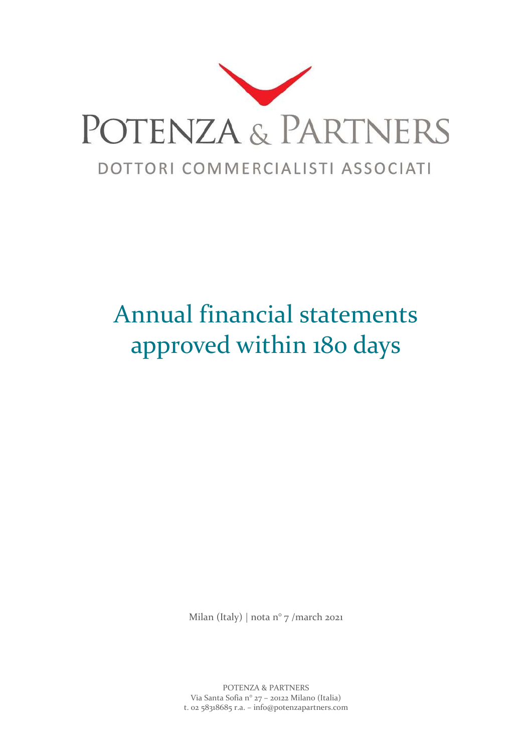

## Annual financial statements approved within 180 days

Milan (Italy) | nota n° 7 /march 2021

POTENZA & PARTNERS Via Santa Sofia n° 27 – 20122 Milano (Italia) t. 02 58318685 r.a. – info@potenzapartners.com